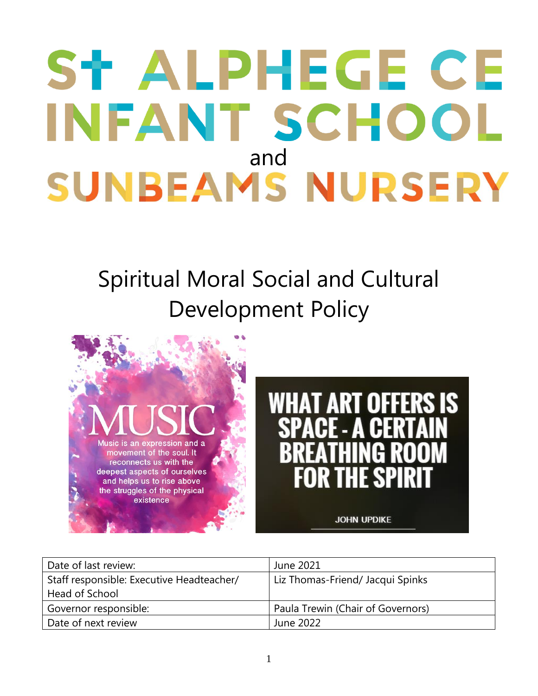# ST ALPHEGE CE INFANT SCHOOL **SUNBEAMS NURSERY**

## Spiritual Moral Social and Cultural Development Policy





| Date of last review:                      | June 2021                         |
|-------------------------------------------|-----------------------------------|
| Staff responsible: Executive Headteacher/ | Liz Thomas-Friend/ Jacqui Spinks  |
| Head of School                            |                                   |
| Governor responsible:                     | Paula Trewin (Chair of Governors) |
| Date of next review                       | June 2022                         |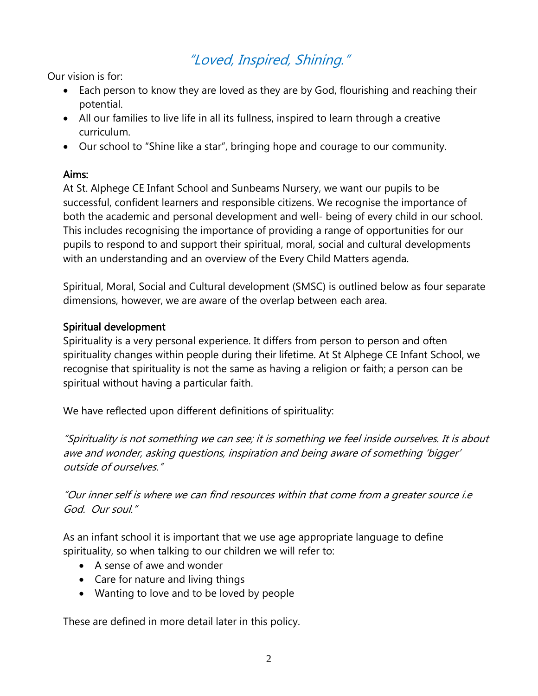### "Loved, Inspired, Shining."

Our vision is for:

- Each person to know they are loved as they are by God, flourishing and reaching their potential.
- All our families to live life in all its fullness, inspired to learn through a creative curriculum.
- Our school to "Shine like a star", bringing hope and courage to our community.

#### Aims:

At St. Alphege CE Infant School and Sunbeams Nursery, we want our pupils to be successful, confident learners and responsible citizens. We recognise the importance of both the academic and personal development and well- being of every child in our school. This includes recognising the importance of providing a range of opportunities for our pupils to respond to and support their spiritual, moral, social and cultural developments with an understanding and an overview of the Every Child Matters agenda.

Spiritual, Moral, Social and Cultural development (SMSC) is outlined below as four separate dimensions, however, we are aware of the overlap between each area.

#### Spiritual development

Spirituality is a very personal experience. It differs from person to person and often spirituality changes within people during their lifetime. At St Alphege CE Infant School, we recognise that spirituality is not the same as having a religion or faith; a person can be spiritual without having a particular faith.

We have reflected upon different definitions of spirituality:

"Spirituality is not something we can see; it is something we feel inside ourselves. It is about awe and wonder, asking questions, inspiration and being aware of something 'bigger' outside of ourselves."

"Our inner self is where we can find resources within that come from <sup>a</sup> greater source i.e God. Our soul."

As an infant school it is important that we use age appropriate language to define spirituality, so when talking to our children we will refer to:

- A sense of awe and wonder
- Care for nature and living things
- Wanting to love and to be loved by people

These are defined in more detail later in this policy.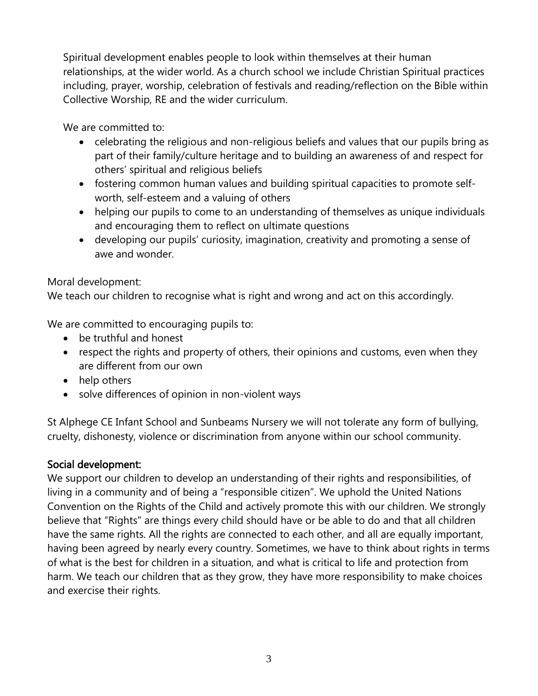Spiritual development enables people to look within themselves at their human relationships, at the wider world. As a church school we include Christian Spiritual practices including, prayer, worship, celebration of festivals and reading/reflection on the Bible within Collective Worship, RE and the wider curriculum.

We are committed to:

- celebrating the religious and non-religious beliefs and values that our pupils bring as part of their family/culture heritage and to building an awareness of and respect for others' spiritual and religious beliefs
- fostering common human values and building spiritual capacities to promote selfworth, self-esteem and a valuing of others
- helping our pupils to come to an understanding of themselves as unique individuals and encouraging them to reflect on ultimate questions
- developing our pupils' curiosity, imagination, creativity and promoting a sense of awe and wonder.

Moral development:

We teach our children to recognise what is right and wrong and act on this accordingly.

We are committed to encouraging pupils to:

- be truthful and honest
- respect the rights and property of others, their opinions and customs, even when they are different from our own
- help others
- solve differences of opinion in non-violent ways

St Alphege CE Infant School and Sunbeams Nursery we will not tolerate any form of bullying, cruelty, dishonesty, violence or discrimination from anyone within our school community.

#### Social development:

We support our children to develop an understanding of their rights and responsibilities, of living in a community and of being a "responsible citizen". We uphold the United Nations Convention on the Rights of the Child and actively promote this with our children. We strongly believe that "Rights" are things every child should have or be able to do and that all children have the same rights. All the rights are connected to each other, and all are equally important, having been agreed by nearly every country. Sometimes, we have to think about rights in terms of what is the best for children in a situation, and what is critical to life and protection from harm. We teach our children that as they grow, they have more responsibility to make choices and exercise their rights.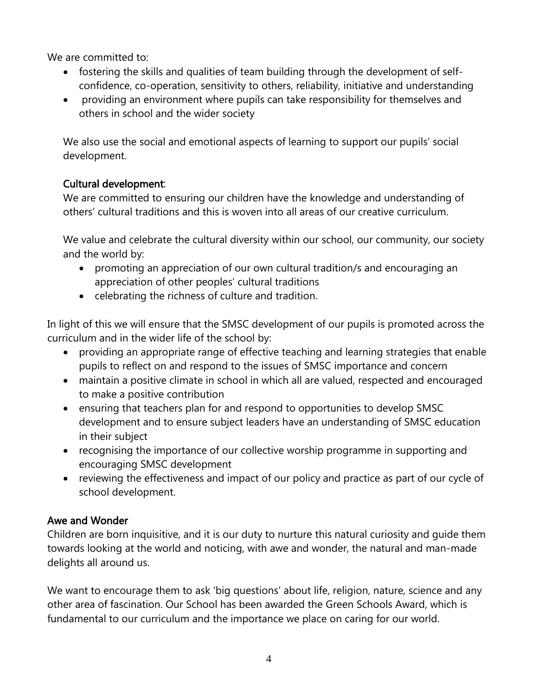We are committed to:

- fostering the skills and qualities of team building through the development of selfconfidence, co-operation, sensitivity to others, reliability, initiative and understanding
- providing an environment where pupils can take responsibility for themselves and others in school and the wider society

We also use the social and emotional aspects of learning to support our pupils' social development.

#### Cultural development:

We are committed to ensuring our children have the knowledge and understanding of others' cultural traditions and this is woven into all areas of our creative curriculum.

We value and celebrate the cultural diversity within our school, our community, our society and the world by:

- promoting an appreciation of our own cultural tradition/s and encouraging an appreciation of other peoples' cultural traditions
- celebrating the richness of culture and tradition.

In light of this we will ensure that the SMSC development of our pupils is promoted across the curriculum and in the wider life of the school by:

- providing an appropriate range of effective teaching and learning strategies that enable pupils to reflect on and respond to the issues of SMSC importance and concern
- maintain a positive climate in school in which all are valued, respected and encouraged to make a positive contribution
- ensuring that teachers plan for and respond to opportunities to develop SMSC development and to ensure subject leaders have an understanding of SMSC education in their subject
- recognising the importance of our collective worship programme in supporting and encouraging SMSC development
- reviewing the effectiveness and impact of our policy and practice as part of our cycle of school development.

#### Awe and Wonder

Children are born inquisitive, and it is our duty to nurture this natural curiosity and guide them towards looking at the world and noticing, with awe and wonder, the natural and man-made delights all around us.

We want to encourage them to ask 'big questions' about life, religion, nature, science and any other area of fascination. Our School has been awarded the Green Schools Award, which is fundamental to our curriculum and the importance we place on caring for our world.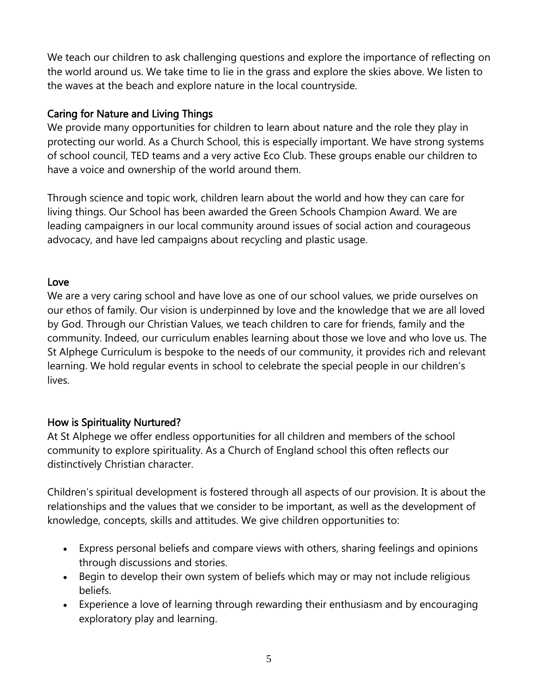We teach our children to ask challenging questions and explore the importance of reflecting on the world around us. We take time to lie in the grass and explore the skies above. We listen to the waves at the beach and explore nature in the local countryside.

#### Caring for Nature and Living Things

We provide many opportunities for children to learn about nature and the role they play in protecting our world. As a Church School, this is especially important. We have strong systems of school council, TED teams and a very active Eco Club. These groups enable our children to have a voice and ownership of the world around them.

Through science and topic work, children learn about the world and how they can care for living things. Our School has been awarded the Green Schools Champion Award. We are leading campaigners in our local community around issues of social action and courageous advocacy, and have led campaigns about recycling and plastic usage.

#### Love

We are a very caring school and have love as one of our school values, we pride ourselves on our ethos of family. Our vision is underpinned by love and the knowledge that we are all loved by God. Through our Christian Values, we teach children to care for friends, family and the community. Indeed, our curriculum enables learning about those we love and who love us. The St Alphege Curriculum is bespoke to the needs of our community, it provides rich and relevant learning. We hold regular events in school to celebrate the special people in our children's lives.

#### How is Spirituality Nurtured?

At St Alphege we offer endless opportunities for all children and members of the school community to explore spirituality. As a Church of England school this often reflects our distinctively Christian character.

Children's spiritual development is fostered through all aspects of our provision. It is about the relationships and the values that we consider to be important, as well as the development of knowledge, concepts, skills and attitudes. We give children opportunities to:

- Express personal beliefs and compare views with others, sharing feelings and opinions through discussions and stories.
- Begin to develop their own system of beliefs which may or may not include religious beliefs.
- Experience a love of learning through rewarding their enthusiasm and by encouraging exploratory play and learning.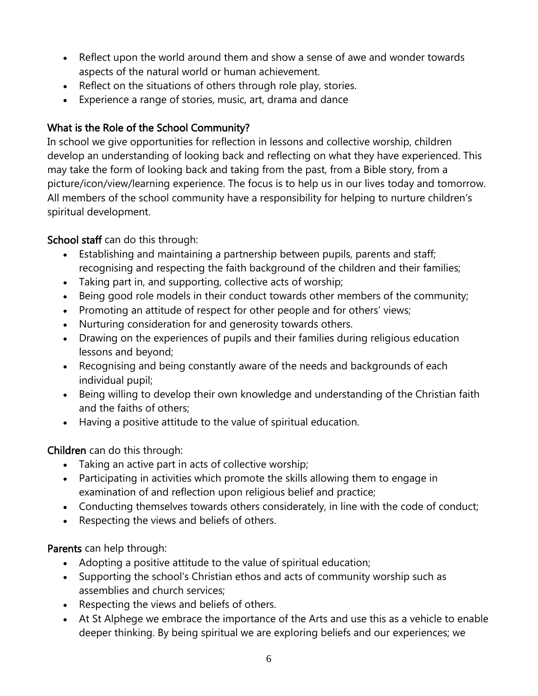- Reflect upon the world around them and show a sense of awe and wonder towards aspects of the natural world or human achievement.
- Reflect on the situations of others through role play, stories.
- Experience a range of stories, music, art, drama and dance

#### What is the Role of the School Community?

In school we give opportunities for reflection in lessons and collective worship, children develop an understanding of looking back and reflecting on what they have experienced. This may take the form of looking back and taking from the past, from a Bible story, from a picture/icon/view/learning experience. The focus is to help us in our lives today and tomorrow. All members of the school community have a responsibility for helping to nurture children's spiritual development.

#### School staff can do this through:

- Establishing and maintaining a partnership between pupils, parents and staff; recognising and respecting the faith background of the children and their families;
- Taking part in, and supporting, collective acts of worship;
- Being good role models in their conduct towards other members of the community;
- Promoting an attitude of respect for other people and for others' views;
- Nurturing consideration for and generosity towards others.
- Drawing on the experiences of pupils and their families during religious education lessons and beyond;
- Recognising and being constantly aware of the needs and backgrounds of each individual pupil;
- Being willing to develop their own knowledge and understanding of the Christian faith and the faiths of others;
- Having a positive attitude to the value of spiritual education.

Children can do this through:

- Taking an active part in acts of collective worship;
- Participating in activities which promote the skills allowing them to engage in examination of and reflection upon religious belief and practice;
- Conducting themselves towards others considerately, in line with the code of conduct;
- Respecting the views and beliefs of others.

Parents can help through:

- Adopting a positive attitude to the value of spiritual education;
- Supporting the school's Christian ethos and acts of community worship such as assemblies and church services;
- Respecting the views and beliefs of others.
- At St Alphege we embrace the importance of the Arts and use this as a vehicle to enable deeper thinking. By being spiritual we are exploring beliefs and our experiences; we